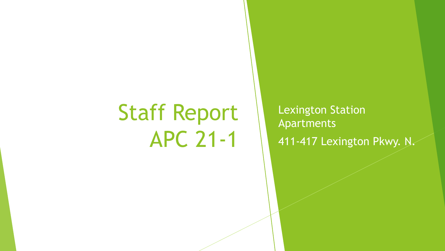# Staff Report APC 21-1

Lexington Station Apartments 411-417 Lexington Pkwy. N.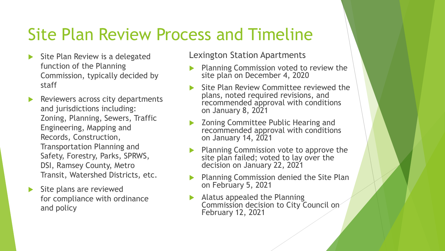## Site Plan Review Process and Timeline

- $\triangleright$  Site Plan Review is a delegated function of the Planning Commission, typically decided by staff
- Reviewers across city departments and jurisdictions including: Zoning, Planning, Sewers, Traffic Engineering, Mapping and Records, Construction, Transportation Planning and Safety, Forestry, Parks, SPRWS, DSI, Ramsey County, Metro Transit, Watershed Districts, etc.
- Site plans are reviewed for compliance with ordinance and policy

#### Lexington Station Apartments

- Planning Commission voted to review the site plan on December 4, 2020
- Site Plan Review Committee reviewed the plans, noted required revisions, and recommended approval with conditions on January 8, 2021
- Zoning Committee Public Hearing and recommended approval with conditions on January 14, 2021
- Planning Commission vote to approve the site plan failed; voted to lay over the decision on January 22, 2021
- Planning Commission denied the Site Plan on February 5, 2021
- Alatus appealed the Planning Commission decision to City Council on February 12, 2021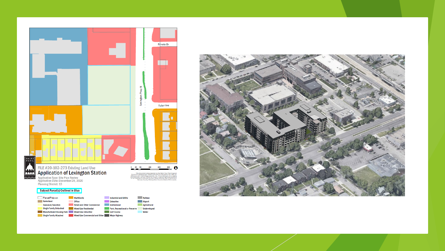

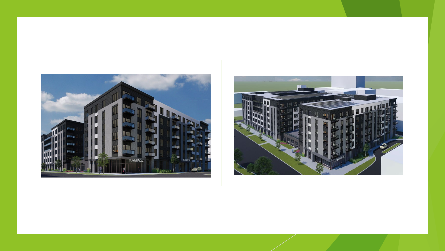

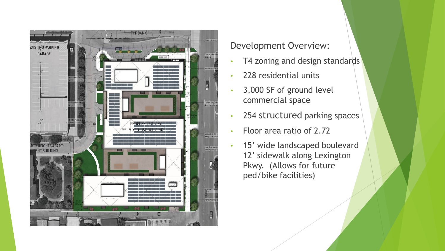

#### Development Overview:

- T4 zoning and design standards
- 228 residential units
- 3,000 SF of ground level commercial space
- 254 structured parking spaces
- Floor area ratio of 2.72
- 15' wide landscaped boulevard 12' sidewalk along Lexington Pkwy. (Allows for future ped/bike facilities)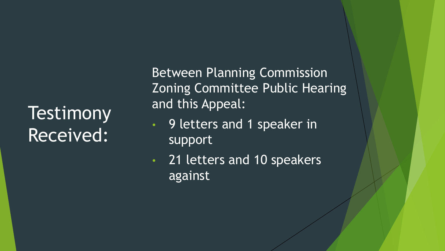**Testimony** Received:

Between Planning Commission Zoning Committee Public Hearing and this Appeal:

- 9 letters and 1 speaker in support
- 21 letters and 10 speakers against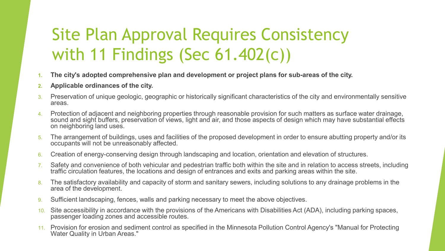# Site Plan Approval Requires Consistency with 11 Findings (Sec 61.402(c))

- **1. The city's adopted comprehensive plan and development or project plans for sub-areas of the city.**
- **2. Applicable ordinances of the city.**
- 3. Preservation of unique geologic, geographic or historically significant characteristics of the city and environmentally sensitive areas.
- 4. Protection of adjacent and neighboring properties through reasonable provision for such matters as surface water drainage, sound and sight buffers, preservation of views, light and air, and those aspects of design which may have substantial effects on neighboring land uses.
- 5. The arrangement of buildings, uses and facilities of the proposed development in order to ensure abutting property and/or its occupants will not be unreasonably affected.
- 6. Creation of energy-conserving design through landscaping and location, orientation and elevation of structures.
- 7. Safety and convenience of both vehicular and pedestrian traffic both within the site and in relation to access streets, including traffic circulation features, the locations and design of entrances and exits and parking areas within the site.
- 8. The satisfactory availability and capacity of storm and sanitary sewers, including solutions to any drainage problems in the area of the development.
- 9. Sufficient landscaping, fences, walls and parking necessary to meet the above objectives.
- 10. Site accessibility in accordance with the provisions of the Americans with Disabilities Act (ADA), including parking spaces, passenger loading zones and accessible routes.
- 11. Provision for erosion and sediment control as specified in the Minnesota Pollution Control Agency's "Manual for Protecting Water Quality in Urban Areas."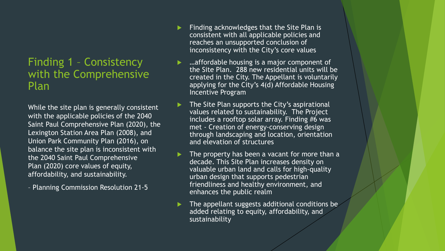### Finding 1 – Consistency with the Comprehensive Plan

While the site plan is generally consistent with the applicable policies of the 2040 Saint Paul Comprehensive Plan (2020), the Lexington Station Area Plan (2008), and Union Park Community Plan (2016), on balance the site plan is inconsistent with the 2040 Saint Paul Comprehensive Plan (2020) core values of equity, affordability, and sustainability.

– Planning Commission Resolution 21-5

- Finding acknowledges that the Site Plan is consistent with all applicable policies and reaches an unsupported conclusion of inconsistency with the City's core values
- …affordable housing is a major component of the Site Plan. 288 new residential units will be created in the City. The Appellant is voluntarily applying for the City's 4(d) Affordable Housing Incentive Program
- The Site Plan supports the City's aspirational values related to sustainability. The Project includes a rooftop solar array. Finding #6 was met - Creation of energy-conserving design through landscaping and location, orientation and elevation of structures
- The property has been a vacant for more than a decade. This Site Plan increases density on valuable urban land and calls for high-quality urban design that supports pedestrian friendliness and healthy environment, and enhances the public realm
- The appellant suggests additional conditions be added relating to equity, affordability, and sustainability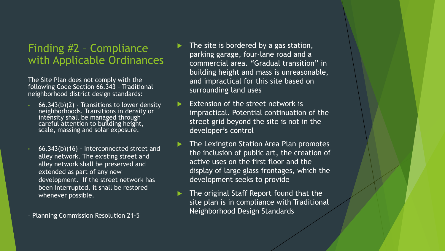### Finding #2 – Compliance with Applicable Ordinances

The Site Plan does not comply with the following Code Section 66.343 – Traditional neighborhood district design standards:

- $66.343(b)(2)$  Transitions to lower density neighborhoods. Transitions in density or intensity shall be managed through careful attention to building height, scale, massing and solar exposure.
- 66.343(b)(16) Interconnected street and alley network. The existing street and alley network shall be preserved and extended as part of any new development. If the street network has been interrupted, it shall be restored whenever possible.
- Planning Commission Resolution 21-5
- The site is bordered by a gas station, parking garage, four-lane road and a commercial area. "Gradual transition" in building height and mass is unreasonable, and impractical for this site based on surrounding land uses
- Extension of the street network is impractical. Potential continuation of the street grid beyond the site is not in the developer's control
- The Lexington Station Area Plan promotes the inclusion of public art, the creation of active uses on the first floor and the display of large glass frontages, which the development seeks to provide
- The original Staff Report found that the site plan is in compliance with Traditional Neighborhood Design Standards